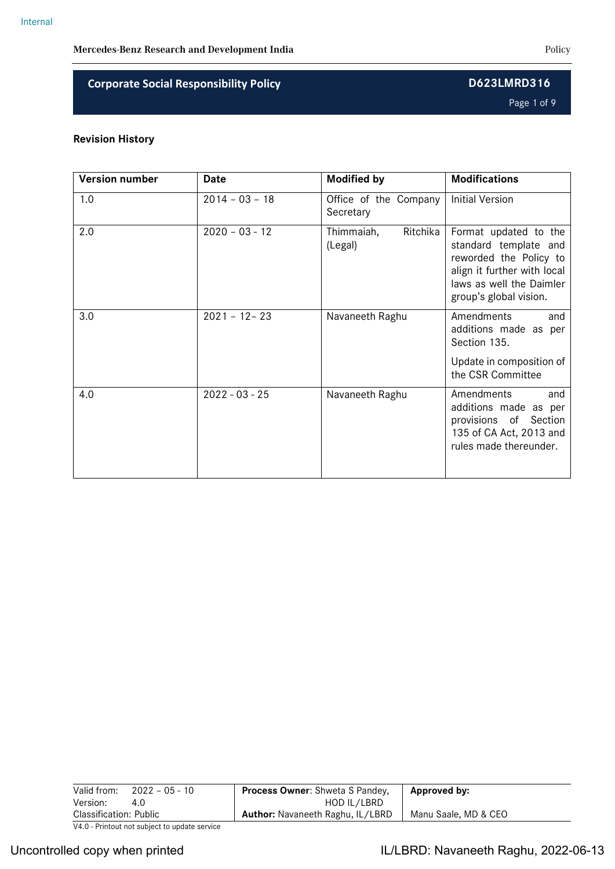Page 1 of 9

## **Revision History**

| <b>Version number</b> | Date             | <b>Modified by</b>                 | <b>Modifications</b>                                                                                                                                          |
|-----------------------|------------------|------------------------------------|---------------------------------------------------------------------------------------------------------------------------------------------------------------|
| 1.0                   | $2014 - 03 - 18$ | Office of the Company<br>Secretary | <b>Initial Version</b>                                                                                                                                        |
| 2.0                   | $2020 - 03 - 12$ | Thimmaiah,<br>Ritchika<br>(Legal)  | Format updated to the<br>standard template and<br>reworded the Policy to<br>align it further with local<br>laws as well the Daimler<br>group's global vision. |
| 3.0                   | $2021 - 12 - 23$ | Navaneeth Raghu                    | Amendments<br>and<br>additions made as per<br>Section 135.                                                                                                    |
|                       |                  |                                    | Update in composition of<br>the CSR Committee                                                                                                                 |
| 4.0                   | $2022 - 03 - 25$ | Navaneeth Raghu                    | Amendments<br>and<br>additions made as per<br>provisions of Section<br>135 of CA Act, 2013 and<br>rules made thereunder.                                      |

| Valid from:<br>$2022 - 05 - 10$               | <b>Process Owner:</b> Shweta S Pandey,  | Approved by:         |
|-----------------------------------------------|-----------------------------------------|----------------------|
| Version:<br>4.0                               | HOD IL/LBRD                             |                      |
| <b>Classification: Public</b>                 | <b>Author:</b> Navaneeth Raghu, IL/LBRD | Manu Saale, MD & CEO |
| V4.0 - Printout not subject to update service |                                         |                      |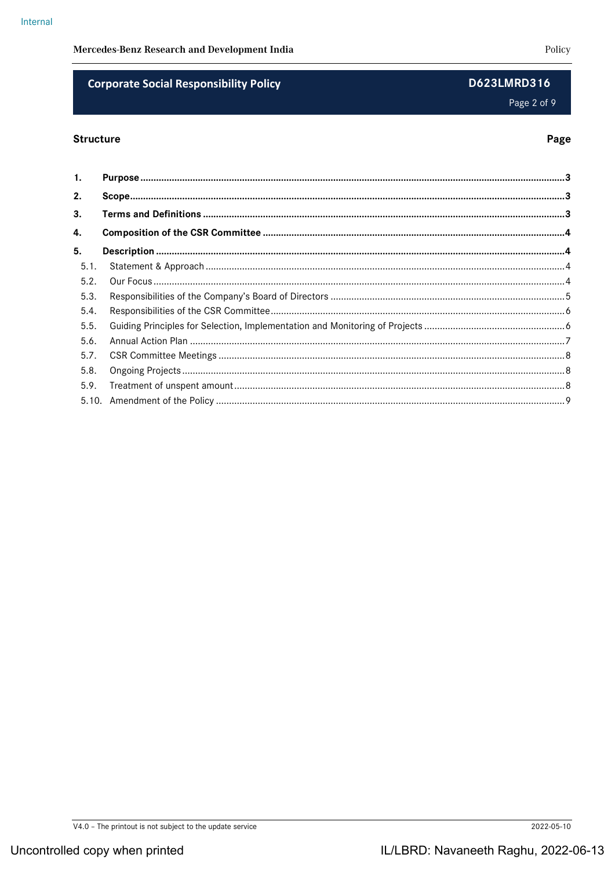## **Corporate Social Responsibility Policy**

### **Structure**

| 1.   |  |
|------|--|
| 2.   |  |
| 3.   |  |
| 4.   |  |
| 5.   |  |
| 5.1. |  |
| 5.2. |  |
| 5.3. |  |
| 5.4. |  |
| 5.5. |  |
| 5.6. |  |
| 5.7. |  |
| 5.8. |  |
| 5.9. |  |

D623LMRD316

Page 2 of 9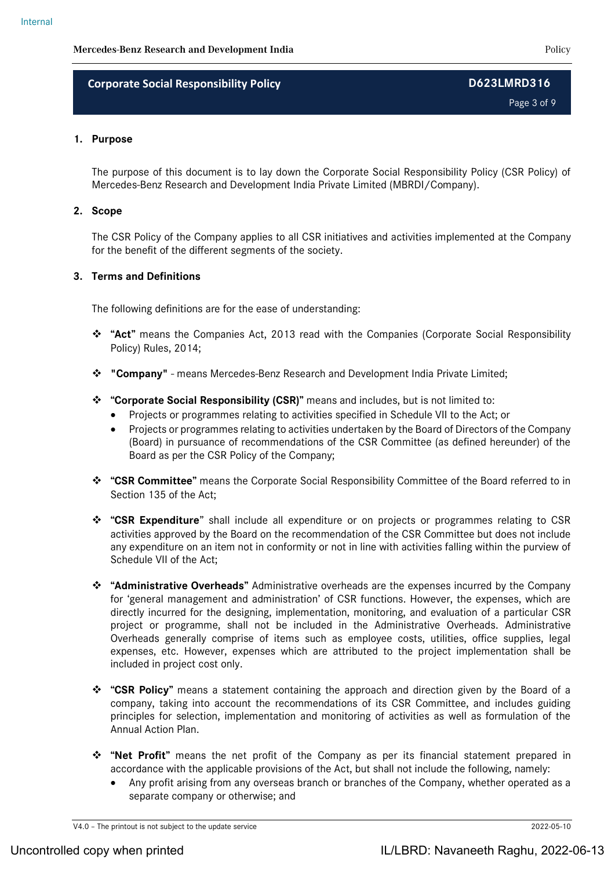Page 3 of 9

### **1. Purpose**

The purpose of this document is to lay down the Corporate Social Responsibility Policy (CSR Policy) of Mercedes-Benz Research and Development India Private Limited (MBRDI/Company).

### **2. Scope**

The CSR Policy of the Company applies to all CSR initiatives and activities implemented at the Company for the benefit of the different segments of the society.

### **3. Terms and Definitions**

The following definitions are for the ease of understanding:

- **"Act"** means the Companies Act, 2013 read with the Companies (Corporate Social Responsibility Policy) Rules, 2014;
- **"Company"** means Mercedes-Benz Research and Development India Private Limited;
- **"Corporate Social Responsibility (CSR)"** means and includes, but is not limited to:
	- Projects or programmes relating to activities specified in Schedule VII to the Act; or
	- Projects or programmes relating to activities undertaken by the Board of Directors of the Company (Board) in pursuance of recommendations of the CSR Committee (as defined hereunder) of the Board as per the CSR Policy of the Company;
- **"CSR Committee"** means the Corporate Social Responsibility Committee of the Board referred to in Section 135 of the Act;
- **"CSR Expenditure**" shall include all expenditure or on projects or programmes relating to CSR activities approved by the Board on the recommendation of the CSR Committee but does not include any expenditure on an item not in conformity or not in line with activities falling within the purview of Schedule VII of the Act;
- **"Administrative Overheads"** Administrative overheads are the expenses incurred by the Company for 'general management and administration' of CSR functions. However, the expenses, which are directly incurred for the designing, implementation, monitoring, and evaluation of a particular CSR project or programme, shall not be included in the Administrative Overheads. Administrative Overheads generally comprise of items such as employee costs, utilities, office supplies, legal expenses, etc. However, expenses which are attributed to the project implementation shall be included in project cost only.
- **"CSR Policy"** means a statement containing the approach and direction given by the Board of a company, taking into account the recommendations of its CSR Committee, and includes guiding principles for selection, implementation and monitoring of activities as well as formulation of the Annual Action Plan.
- **"Net Profit"** means the net profit of the Company as per its financial statement prepared in accordance with the applicable provisions of the Act, but shall not include the following, namely:
	- Any profit arising from any overseas branch or branches of the Company, whether operated as a separate company or otherwise; and

V4.0 – The printout is not subject to the update service 2022-05-10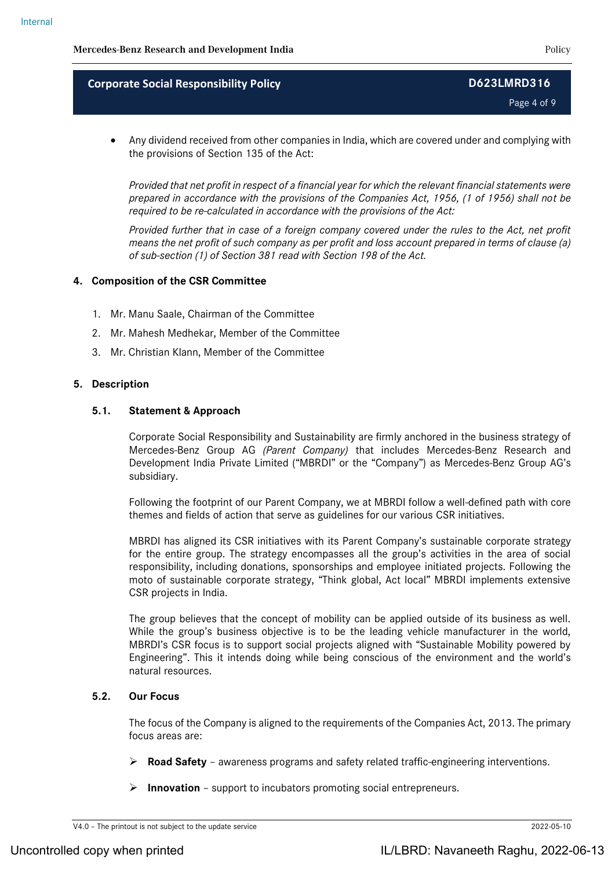Page 4 of 9

 Any dividend received from other companies in India, which are covered under and complying with the provisions of Section 135 of the Act:

*Provided that net profit in respect of a financial year for which the relevant financial statements were prepared in accordance with the provisions of the Companies Act, 1956, (1 of 1956) shall not be required to be re-calculated in accordance with the provisions of the Act:*

*Provided further that in case of a foreign company covered under the rules to the Act, net profit means the net profit of such company as per profit and loss account prepared in terms of clause (a) of sub-section (1) of Section 381 read with Section 198 of the Act.*

### **4. Composition of the CSR Committee**

- 1. Mr. Manu Saale, Chairman of the Committee
- 2. Mr. Mahesh Medhekar, Member of the Committee
- 3. Mr. Christian Klann, Member of the Committee

### **5. Description**

### **5.1. Statement & Approach**

Corporate Social Responsibility and Sustainability are firmly anchored in the business strategy of Mercedes-Benz Group AG *(Parent Company)* that includes Mercedes-Benz Research and Development India Private Limited ("MBRDI" or the "Company") as Mercedes-Benz Group AG's subsidiary.

Following the footprint of our Parent Company, we at MBRDI follow a well-defined path with core themes and fields of action that serve as guidelines for our various CSR initiatives.

MBRDI has aligned its CSR initiatives with its Parent Company's sustainable corporate strategy for the entire group. The strategy encompasses all the group's activities in the area of social responsibility, including donations, sponsorships and employee initiated projects. Following the moto of sustainable corporate strategy, "Think global, Act local" MBRDI implements extensive CSR projects in India.

The group believes that the concept of mobility can be applied outside of its business as well. While the group's business objective is to be the leading vehicle manufacturer in the world, MBRDI's CSR focus is to support social projects aligned with "Sustainable Mobility powered by Engineering". This it intends doing while being conscious of the environment and the world's natural resources.

### **5.2. Our Focus**

The focus of the Company is aligned to the requirements of the Companies Act, 2013. The primary focus areas are:

- **Road Safety** awareness programs and safety related traffic-engineering interventions.
- **Innovation** support to incubators promoting social entrepreneurs.

V4.0 – The printout is not subject to the update service 2022-05-10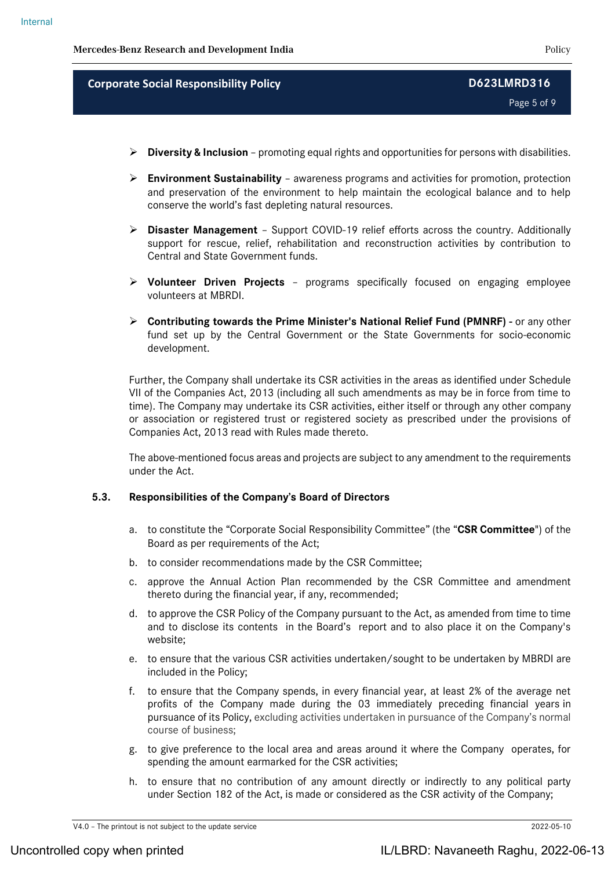Page 5 of 9

- **Diversity & Inclusion** promoting equal rights and opportunities for persons with disabilities.
- **Environment Sustainability** awareness programs and activities for promotion, protection and preservation of the environment to help maintain the ecological balance and to help conserve the world's fast depleting natural resources.
- **Disaster Management**  Support COVID-19 relief efforts across the country. Additionally support for rescue, relief, rehabilitation and reconstruction activities by contribution to Central and State Government funds.
- **Volunteer Driven Projects**  programs specifically focused on engaging employee volunteers at MBRDI.
- **Contributing towards the Prime Minister's National Relief Fund (PMNRF) -** or any other fund set up by the Central Government or the State Governments for socio-economic development.

Further, the Company shall undertake its CSR activities in the areas as identified under Schedule VII of the Companies Act, 2013 (including all such amendments as may be in force from time to time). The Company may undertake its CSR activities, either itself or through any other company or association or registered trust or registered society as prescribed under the provisions of Companies Act, 2013 read with Rules made thereto.

The above-mentioned focus areas and projects are subject to any amendment to the requirements under the Act.

### **5.3. Responsibilities of the Company's Board of Directors**

- a. to constitute the "Corporate Social Responsibility Committee" (the "**CSR Committee**") of the Board as per requirements of the Act;
- b. to consider recommendations made by the CSR Committee;
- c. approve the Annual Action Plan recommended by the CSR Committee and amendment thereto during the financial year, if any, recommended;
- d. to approve the CSR Policy of the Company pursuant to the Act, as amended from time to time and to disclose its contents in the Board's report and to also place it on the Company's website;
- e. to ensure that the various CSR activities undertaken/sought to be undertaken by MBRDI are included in the Policy;
- f. to ensure that the Company spends, in every financial year, at least 2% of the average net profits of the Company made during the 03 immediately preceding financial years in pursuance of its Policy, excluding activities undertaken in pursuance of the Company's normal course of business;
- g. to give preference to the local area and areas around it where the Company operates, for spending the amount earmarked for the CSR activities;
- h. to ensure that no contribution of any amount directly or indirectly to any political party under Section 182 of the Act, is made or considered as the CSR activity of the Company;

V4.0 – The printout is not subject to the update service 2022-05-10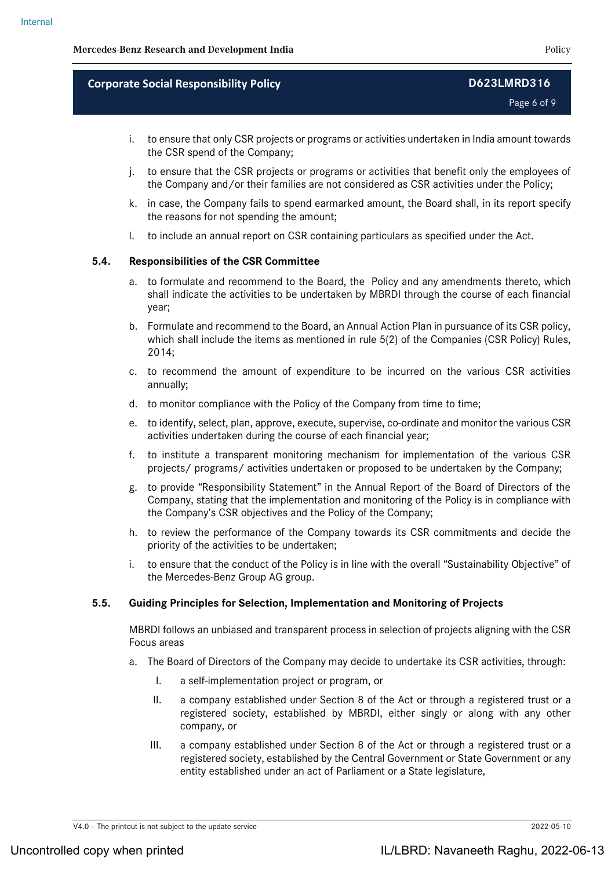Page 6 of 9

- i. to ensure that only CSR projects or programs or activities undertaken in India amount towards the CSR spend of the Company;
- j. to ensure that the CSR projects or programs or activities that benefit only the employees of the Company and/or their families are not considered as CSR activities under the Policy;
- k. in case, the Company fails to spend earmarked amount, the Board shall, in its report specify the reasons for not spending the amount;
- l. to include an annual report on CSR containing particulars as specified under the Act.

### **5.4. Responsibilities of the CSR Committee**

- a. to formulate and recommend to the Board, the Policy and any amendments thereto, which shall indicate the activities to be undertaken by MBRDI through the course of each financial year;
- b. Formulate and recommend to the Board, an Annual Action Plan in pursuance of its CSR policy, which shall include the items as mentioned in rule 5(2) of the Companies (CSR Policy) Rules, 2014;
- c. to recommend the amount of expenditure to be incurred on the various CSR activities annually;
- d. to monitor compliance with the Policy of the Company from time to time;
- e. to identify, select, plan, approve, execute, supervise, co-ordinate and monitor the various CSR activities undertaken during the course of each financial year;
- f. to institute a transparent monitoring mechanism for implementation of the various CSR projects/ programs/ activities undertaken or proposed to be undertaken by the Company;
- g. to provide "Responsibility Statement" in the Annual Report of the Board of Directors of the Company, stating that the implementation and monitoring of the Policy is in compliance with the Company's CSR objectives and the Policy of the Company;
- h. to review the performance of the Company towards its CSR commitments and decide the priority of the activities to be undertaken;
- to ensure that the conduct of the Policy is in line with the overall "Sustainability Objective" of the Mercedes-Benz Group AG group.

### **5.5. Guiding Principles for Selection, Implementation and Monitoring of Projects**

MBRDI follows an unbiased and transparent process in selection of projects aligning with the CSR Focus areas

- a. The Board of Directors of the Company may decide to undertake its CSR activities, through:
	- I. a self-implementation project or program, or
	- II. a company established under Section 8 of the Act or through a registered trust or a registered society, established by MBRDI, either singly or along with any other company, or
	- III. a company established under Section 8 of the Act or through a registered trust or a registered society, established by the Central Government or State Government or any entity established under an act of Parliament or a State legislature,

V4.0 – The printout is not subject to the update service 2022-05-10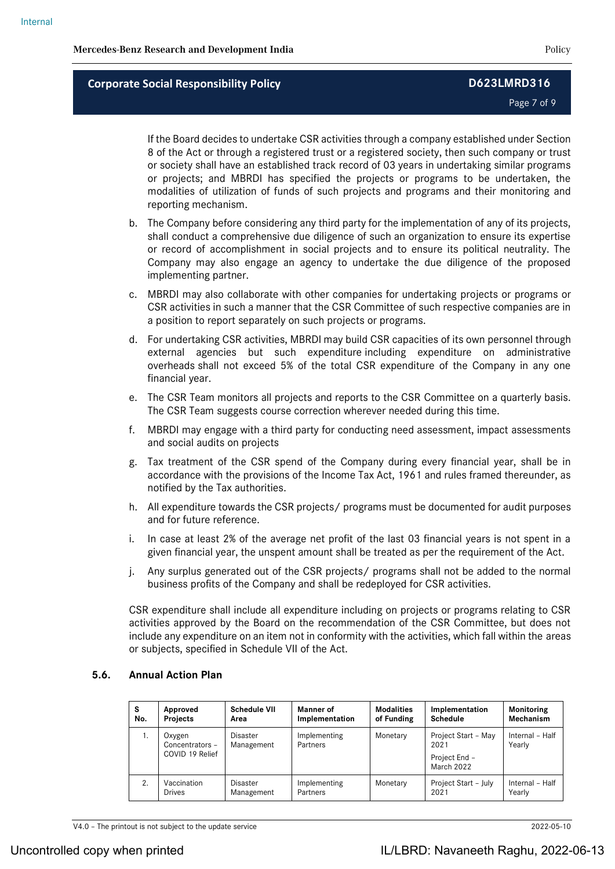Page 7 of 9

If the Board decides to undertake CSR activities through a company established under Section 8 of the Act or through a registered trust or a registered society, then such company or trust or society shall have an established track record of 03 years in undertaking similar programs or projects; and MBRDI has specified the projects or programs to be undertaken, the modalities of utilization of funds of such projects and programs and their monitoring and reporting mechanism.

- b. The Company before considering any third party for the implementation of any of its projects, shall conduct a comprehensive due diligence of such an organization to ensure its expertise or record of accomplishment in social projects and to ensure its political neutrality. The Company may also engage an agency to undertake the due diligence of the proposed implementing partner.
- c. MBRDI may also collaborate with other companies for undertaking projects or programs or CSR activities in such a manner that the CSR Committee of such respective companies are in a position to report separately on such projects or programs.
- d. For undertaking CSR activities, MBRDI may build CSR capacities of its own personnel through external agencies but such expenditure including expenditure on administrative overheads shall not exceed 5% of the total CSR expenditure of the Company in any one financial year.
- e. The CSR Team monitors all projects and reports to the CSR Committee on a quarterly basis. The CSR Team suggests course correction wherever needed during this time.
- f. MBRDI may engage with a third party for conducting need assessment, impact assessments and social audits on projects
- g. Tax treatment of the CSR spend of the Company during every financial year, shall be in accordance with the provisions of the Income Tax Act, 1961 and rules framed thereunder, as notified by the Tax authorities.
- h. All expenditure towards the CSR projects/ programs must be documented for audit purposes and for future reference.
- i. In case at least 2% of the average net profit of the last 03 financial years is not spent in a given financial year, the unspent amount shall be treated as per the requirement of the Act.
- j. Any surplus generated out of the CSR projects/ programs shall not be added to the normal business profits of the Company and shall be redeployed for CSR activities.

CSR expenditure shall include all expenditure including on projects or programs relating to CSR activities approved by the Board on the recommendation of the CSR Committee, but does not include any expenditure on an item not in conformity with the activities, which fall within the areas or subjects, specified in [Schedule VII](http://ebook.mca.gov.in/Actpagedisplay.aspx?PAGENAME=17923) of the Act.

### **5.6. Annual Action Plan**

| s<br>No. | Approved<br><b>Projects</b>                  | <b>Schedule VII</b><br>Area   | <b>Manner</b> of<br>Implementation | <b>Modalities</b><br>of Funding | Implementation<br><b>Schedule</b>                          | <b>Monitoring</b><br>Mechanism |
|----------|----------------------------------------------|-------------------------------|------------------------------------|---------------------------------|------------------------------------------------------------|--------------------------------|
| 1.       | Oxygen<br>Concentrators -<br>COVID 19 Relief | <b>Disaster</b><br>Management | Implementing<br>Partners           | Monetary                        | Project Start - May<br>2021<br>Project End -<br>March 2022 | Internal - Half<br>Yearly      |
| 2.       | Vaccination<br><b>Drives</b>                 | Disaster<br>Management        | Implementing<br>Partners           | Monetary                        | Project Start - July<br>2021                               | Internal - Half<br>Yearly      |

V4.0 – The printout is not subject to the update service 2022-05-10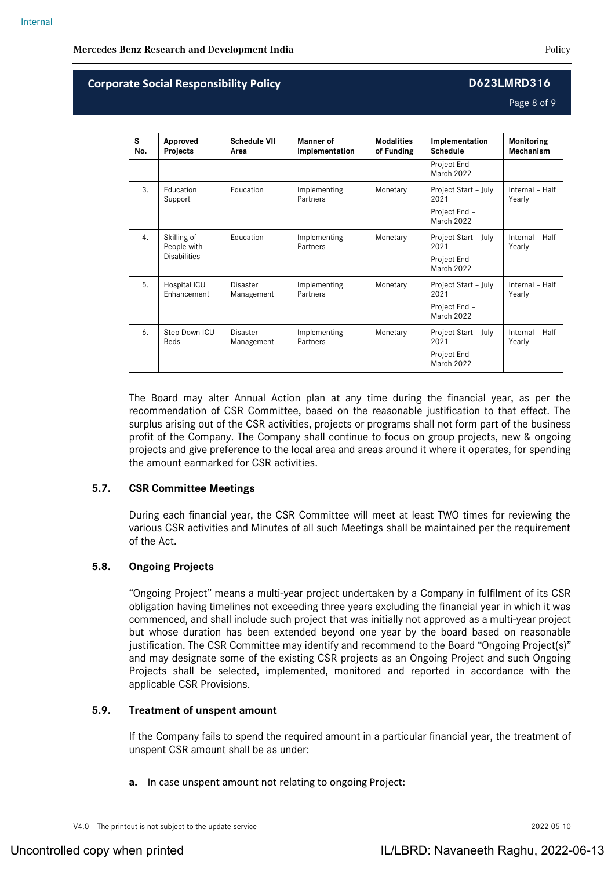Page 8 of 9

| S<br>No. | Approved<br><b>Projects</b>                       | <b>Schedule VII</b><br>Area | Manner of<br>Implementation | <b>Modalities</b><br>of Funding | Implementation<br><b>Schedule</b>                                  | <b>Monitoring</b><br>Mechanism |
|----------|---------------------------------------------------|-----------------------------|-----------------------------|---------------------------------|--------------------------------------------------------------------|--------------------------------|
|          |                                                   |                             |                             |                                 | Project End -<br><b>March 2022</b>                                 |                                |
| 3.       | Education<br>Support                              | Education                   | Implementing<br>Partners    | Monetary                        | Project Start - July<br>2021<br>Project End -<br><b>March 2022</b> | Internal - Half<br>Yearly      |
| 4.       | Skilling of<br>People with<br><b>Disabilities</b> | Education                   | Implementing<br>Partners    | Monetary                        | Project Start - July<br>2021<br>Project End -<br><b>March 2022</b> | Internal - Half<br>Yearly      |
| 5.       | Hospital ICU<br>Enhancement                       | Disaster<br>Management      | Implementing<br>Partners    | Monetary                        | Project Start - July<br>2021<br>Project End -<br>March 2022        | Internal - Half<br>Yearly      |
| 6.       | Step Down ICU<br><b>Beds</b>                      | Disaster<br>Management      | Implementing<br>Partners    | Monetary                        | Project Start - July<br>2021<br>Project End -<br>March 2022        | Internal - Half<br>Yearly      |

The Board may alter Annual Action plan at any time during the financial year, as per the recommendation of CSR Committee, based on the reasonable justification to that effect. The surplus arising out of the CSR activities, projects or programs shall not form part of the business profit of the Company. The Company shall continue to focus on group projects, new & ongoing projects and give preference to the local area and areas around it where it operates, for spending the amount earmarked for CSR activities.

## **5.7. CSR Committee Meetings**

During each financial year, the CSR Committee will meet at least TWO times for reviewing the various CSR activities and Minutes of all such Meetings shall be maintained per the requirement of the Act.

## **5.8. Ongoing Projects**

"Ongoing Project" means a multi-year project undertaken by a Company in fulfilment of its CSR obligation having timelines not exceeding three years excluding the financial year in which it was commenced, and shall include such project that was initially not approved as a multi-year project but whose duration has been extended beyond one year by the board based on reasonable justification. The CSR Committee may identify and recommend to the Board "Ongoing Project(s)" and may designate some of the existing CSR projects as an Ongoing Project and such Ongoing Projects shall be selected, implemented, monitored and reported in accordance with the applicable CSR Provisions.

## **5.9. Treatment of unspent amount**

If the Company fails to spend the required amount in a particular financial year, the treatment of unspent CSR amount shall be as under:

**a.** In case unspent amount not relating to ongoing Project:

V4.0 – The printout is not subject to the update service 2022-05-10